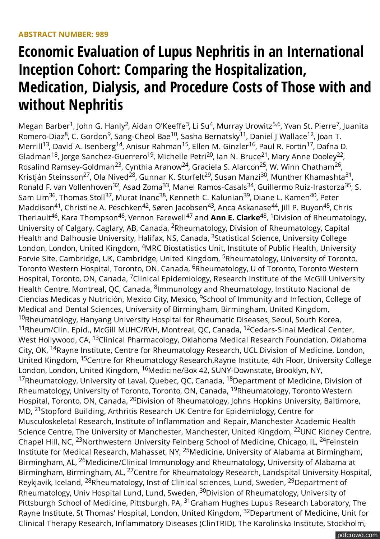# **Economic Evaluation of Lupus Nephritis in an International Inception Cohort: Comparing the Hospitalization, Medication, Dialysis, and Procedure Costs of Those with and without Nephritis**

Megan Barber<sup>1</sup>, John G. Hanly<sup>2</sup>, Aidan O'Keeffe<sup>3</sup>, Li Su<sup>4</sup>, Murray Urowitz<sup>5,6</sup>, Yvan St. Pierre<sup>7</sup>, Juanita Romero-Diaz<sup>8</sup>, C. Gordon<sup>9</sup>, Sang-Cheol Bae<sup>10</sup>, Sasha Bernatsky<sup>11</sup>, Daniel J Wallace<sup>12</sup>, Joan T. Merrill<sup>13</sup>, David A. Isenberg<sup>14</sup>, Anisur Rahman<sup>15</sup>, Ellen M. Ginzler<sup>16</sup>, Paul R. Fortin<sup>17</sup>, Dafna D. Gladman<sup>18</sup>, Jorge Sanchez-Guerrero<sup>19</sup>, Michelle Petri<sup>20</sup>, Ian N. Bruce<sup>21</sup>, Mary Anne Dooley<sup>22</sup>, Rosalind Ramsey-Goldman<sup>23</sup>, Cynthia Aranow<sup>24</sup>, Graciela S. Alarcon<sup>25</sup>, W. Winn Chatham<sup>26</sup>, Kristján Steinsson<sup>27</sup>, Ola Nived<sup>28</sup>, Gunnar K. Sturfelt<sup>29</sup>, Susan Manzi<sup>30</sup>, Munther Khamashta<sup>31</sup>, Ronald F. van Vollenhoven<sup>32</sup>, Asad Zoma<sup>33</sup>, Manel Ramos-Casals<sup>34</sup>, Guillermo Ruiz-Irastorza<sup>35</sup>, S. Sam Lim<sup>36</sup>, Thomas Stoll<sup>37</sup>, Murat Inanc<sup>38</sup>, Kenneth C. Kalunian<sup>39</sup>, Diane L. Kamen<sup>40</sup>, Peter Maddison<sup>41</sup>, Christine A. Peschken<sup>42</sup>, Søren Jacobsen<sup>43</sup>, Anca Askanase<sup>44</sup>, Jill P. Buyon<sup>45</sup>, Chris Theriault<sup>46</sup>, Kara Thompson<sup>46</sup>, Vernon Farewell<sup>47</sup> and **Ann E. Clarke**<sup>48</sup>, <sup>1</sup>Division of Rheumatology, University of Calgary, Caglary, AB, Canada, <sup>2</sup>Rheumatology, Division of Rheumatology, Capital Health and Dalhousie University, Halifax, NS, Canada, <sup>3</sup>Statistical Science, University College London, London, United Kingdom, <sup>4</sup>MRC Biostatistics Unit, Institute of Public Health, University Forvie Site, Cambridge, UK, Cambridge, United Kingdom, <sup>5</sup>Rheumatology, University of Toronto, Toronto Western Hospital, Toronto, ON, Canada, <sup>6</sup>Rheumatology, U of Toronto, Toronto Western Hospital, Toronto, ON, Canada, <sup>7</sup>Clinical Epidemiology, Research Institute of the McGill University Health Centre, Montreal, QC, Canada, <sup>8</sup>lmmunology and Rheumatology, Instituto Nacional de Ciencias Medicas y Nutrición, Mexico City, Mexico, <sup>9</sup>School of Immunity and Infection, College of Medical and Dental Sciences, University of Birmingham, Birmingham, United Kingdom, <sup>10</sup>Rheumatology, Hanyang University Hospital for Rheumatic Diseases, Seoul, South Korea, <sup>11</sup>Rheum/Clin. Epid., McGill MUHC/RVH, Montreal, QC, Canada, <sup>12</sup>Cedars-Sinai Medical Center, West Hollywood, CA, <sup>13</sup>Clinical Pharmacology, Oklahoma Medical Research Foundation, Oklahoma City, OK, <sup>14</sup>Rayne Institute, Centre for Rheumatology Research, UCL Division of Medicine, London, United Kingdom, <sup>15</sup>Centre for Rheumatology Research,Rayne Institute, 4th Floor, University College London, London, United Kingdom, <sup>16</sup>Medicine/Box 42, SUNY-Downstate, Brooklyn, NY, <sup>17</sup>Rheumatology, University of Laval, Quebec, QC, Canada, <sup>18</sup>Department of Medicine, Division of Rheumatology, University of Toronto, Toronto, ON, Canada, <sup>19</sup>Rheumatology, Toronto Western Hospital, Toronto, ON, Canada, <sup>20</sup>Division of Rheumatology, Johns Hopkins University, Baltimore, MD, <sup>21</sup>Stopford Building, Arthritis Research UK Centre for Epidemiology, Centre for Musculoskeletal Research, Institute of Inflammation and Repair, Manchester Academic Health Science Centre, The University of Manchester, Manchester, United Kingdom, <sup>22</sup>UNC Kidney Centre, Chapel Hill, NC, <sup>23</sup>Northwestern University Feinberg School of Medicine, Chicago, IL, <sup>24</sup>Feinstein Institute for Medical Research, Mahasset, NY, <sup>25</sup>Medicine, University of Alabama at Birmingham, Birmingham, AL, <sup>26</sup>Medicine/Clinical Immunology and Rheumatology, University of Alabama at Birmingham, Birmingham, AL, <sup>27</sup>Centre for Rheumatology Research, Landspital University Hospital, Reykjavik, Iceland, <sup>28</sup>Rheumatology, Inst of Clinical sciences, Lund, Sweden, <sup>29</sup>Department of Rheumatology, Univ Hospital Lund, Lund, Sweden, <sup>30</sup>Division of Rheumatology, University of Pittsburgh School of Medicine, Pittsburgh, PA, <sup>31</sup>Graham Hughes Lupus Research Laboratory, The Rayne Institute, St Thomas' Hospital, London, United Kingdom, <sup>32</sup>Department of Medicine, Unit for Clinical Therapy Research, Inflammatory Diseases (ClinTRID), The Karolinska Institute, Stockholm, <sup>32</sup> Asad Zoma<sup>33</sup> Manel Ramos-Casals<sup>34</sup> Guillermo Ruiz-Irastorza<sup>35</sup>  $^{36}$  Thomas Stoll $^{37}$  Murat Inanc $^{38}$  Kenneth C Kalunian $^{39}$  Diane L Kamen $^{40}$ <sup>41</sup> Christine A. Peschken<sup>42</sup> Søren Jacobsen<sup>43</sup> Anca Askanase<sup>44</sup> Jill P. Buvon<sup>45</sup>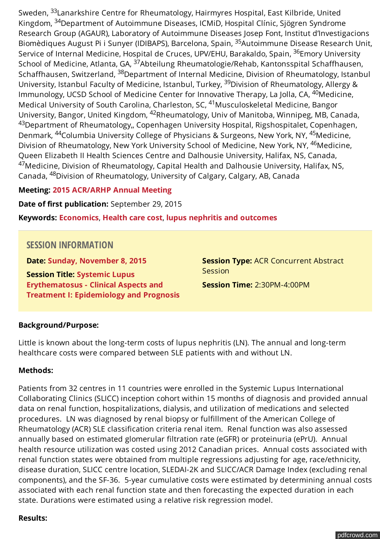Sweden, <sup>33</sup>Lanarkshire Centre for Rheumatology, Hairmyres Hospital, East Kilbride, United Kingdom, <sup>34</sup>Department of Autoimmune Diseases, ICMiD, Hospital Clínic, Sjögren Syndrome Research Group (AGAUR), Laboratory of Autoimmune Diseases Josep Font, Institut d'Investigacions Biomèdiques August Pi i Sunyer (IDIBAPS), Barcelona, Spain, <sup>35</sup>Autoimmune Disease Research Unit, Service of Internal Medicine, Hospital de Cruces, UPV/EHU, Barakaldo, Spain, <sup>36</sup>Emory University School of Medicine, Atlanta, GA, <sup>37</sup>Abteilung Rheumatologie/Rehab, Kantonsspital Schaffhausen, Schaffhausen, Switzerland, <sup>38</sup>Department of Internal Medicine, Division of Rheumatology, Istanbul University, Istanbul Faculty of Medicine, Istanbul, Turkey, <sup>39</sup>Division of Rheumatology, Allergy & Immunology, UCSD School of Medicine Center for Innovative Therapy, La Jolla, CA, <sup>40</sup>Medicine, Medical University of South Carolina, Charleston, SC, <sup>41</sup>Musculoskeletal Medicine, Bangor University, Bangor, United Kingdom, <sup>42</sup>Rheumatology, Univ of Manitoba, Winnipeg, MB, Canada, <sup>43</sup>Department of Rheumatology,, Copenhagen University Hospital, Rigshospitalet, Copenhagen, Denmark, <sup>44</sup>Columbia University College of Physicians & Surgeons, New York, NY, <sup>45</sup>Medicine, Division of Rheumatology, New York University School of Medicine, New York, NY, <sup>46</sup>Medicine, Queen Elizabeth II Health Sciences Centre and Dalhousie University, Halifax, NS, Canada, <sup>47</sup>Medicine, Division of Rheumatology, Capital Health and Dalhousie University, Halifax, NS, Canada, <sup>48</sup>Division of Rheumatology, University of Calgary, Calgary, AB, Canada

### **Meeting: [2015 ACR/ARHP Annual Meeting](http://acrabstracts.org/meetings/2015-acrarhp-annual-meeting/?alpha=)**

**Date of first publication:** September 29, 2015

**Keywords: [Economics](http://acrabstracts.org/tag/economics/)**, **[Health care cost](http://acrabstracts.org/tag/health-care-cost/)**, **[lupus nephritis and outcomes](http://acrabstracts.org/tag/lupus-nephritis-and-outcomes/)**

## **SESSION INFORMATION**

**Date: [Sunday, November 8, 2015](http://acrabstracts.org/meetings/2015-acrarhp-annual-meeting/?viewby=date&date=2015-11-08)**

**Session Title: Systemic Lupus Erythematosus - Clinical Aspects and [Treatment I: Epidemiology and Prognosis](http://acrabstracts.org/sessions/systemic-lupus-erythematosus-clinical-aspects-and-treatment-i-epidemiology-and-prognosis-2015)** **Session Type:** ACR Concurrent Abstract **Session** 

**Session Time:** 2:30PM-4:00PM

#### **Background/Purpose:**

Little is known about the long-term costs of lupus nephritis (LN). The annual and long-term healthcare costs were compared between SLE patients with and without LN.

#### **Methods:**

Patients from 32 centres in 11 countries were enrolled in the Systemic Lupus International Collaborating Clinics (SLICC) inception cohort within 15 months of diagnosis and provided annual data on renal function, hospitalizations, dialysis, and utilization of medications and selected procedures. LN was diagnosed by renal biopsy or fulfillment of the American College of Rheumatology (ACR) SLE classification criteria renal item. Renal function was also assessed annually based on estimated glomerular filtration rate (eGFR) or proteinuria (ePrU). Annual health resource utilization was costed using 2012 Canadian prices. Annual costs associated with renal function states were obtained from multiple regressions adjusting for age, race/ethnicity, disease duration, SLICC centre location, SLEDAI-2K and SLICC/ACR Damage Index (excluding renal components), and the SF-36. 5-year cumulative costs were estimated by determining annual costs associated with each renal function state and then forecasting the expected duration in each state. Durations were estimated using a relative risk regression model.

#### **Results:**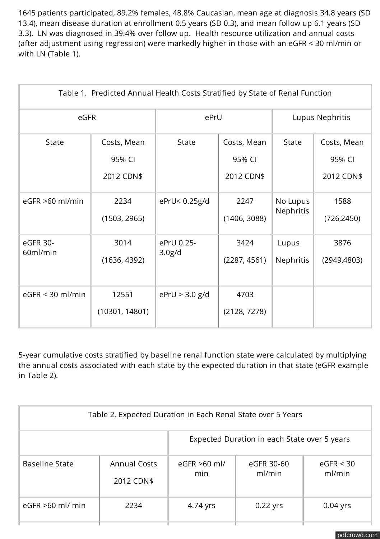1645 patients participated, 89.2% females, 48.8% Caucasian, mean age at diagnosis 34.8 years (SD 13.4), mean disease duration at enrollment 0.5 years (SD 0.3), and mean follow up 6.1 years (SD 3.3). LN was diagnosed in 39.4% over follow up. Health resource utilization and annual costs (after adjustment using regression) were markedly higher in those with an eGFR < 30 ml/min or with LN (Table 1).

| Table 1. Predicted Annual Health Costs Stratified by State of Renal Function |                                     |                                   |                                     |                           |                                     |
|------------------------------------------------------------------------------|-------------------------------------|-----------------------------------|-------------------------------------|---------------------------|-------------------------------------|
| eGFR                                                                         |                                     | ePrU                              |                                     | Lupus Nephritis           |                                     |
| <b>State</b>                                                                 | Costs, Mean<br>95% CI<br>2012 CDN\$ | <b>State</b>                      | Costs, Mean<br>95% CI<br>2012 CDN\$ | <b>State</b>              | Costs, Mean<br>95% CI<br>2012 CDN\$ |
| eGFR >60 ml/min                                                              | 2234<br>(1503, 2965)                | ePrU< 0.25g/d                     | 2247<br>(1406, 3088)                | No Lupus<br>Nephritis     | 1588<br>(726, 2450)                 |
| eGFR 30-<br>60ml/min                                                         | 3014<br>(1636, 4392)                | ePrU 0.25-<br>3.0 <sub>g</sub> /d | 3424<br>(2287, 4561)                | Lupus<br><b>Nephritis</b> | 3876<br>(2949, 4803)                |
| $eGFR < 30$ ml/min                                                           | 12551<br>(10301, 14801)             | ePrU > 3.0 g/d                    | 4703<br>(2128, 7278)                |                           |                                     |

5-year cumulative costs stratified by baseline renal function state were calculated by multiplying the annual costs associated with each state by the expected duration in that state (eGFR example in Table 2).

| Table 2. Expected Duration in Each Renal State over 5 Years |                                   |                                              |                      |                     |  |
|-------------------------------------------------------------|-----------------------------------|----------------------------------------------|----------------------|---------------------|--|
|                                                             |                                   | Expected Duration in each State over 5 years |                      |                     |  |
| <b>Baseline State</b>                                       | <b>Annual Costs</b><br>2012 CDN\$ | $eGFR > 60$ ml/<br>min                       | eGFR 30-60<br>ml/min | eGFR < 30<br>ml/min |  |
| $eGFR > 60$ ml/ min                                         | 2234                              | 4.74 yrs                                     | $0.22$ yrs           | $0.04$ yrs          |  |

[pdfcrowd.com](http://pdfcrowd.com)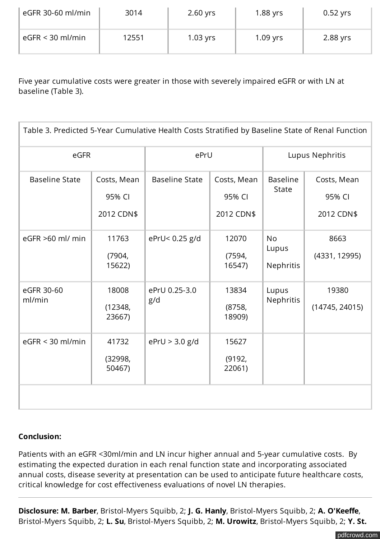| eGFR 30-60 ml/min  | 3014  | $2.60$ yrs | $1.88$ yrs | $0.52$ yrs |
|--------------------|-------|------------|------------|------------|
| $eGFR < 30$ ml/min | 12551 | $1.03$ yrs | $1.09$ yrs | 2.88 yrs   |

Five year cumulative costs were greater in those with severely impaired eGFR or with LN at baseline (Table 3).

| Table 3. Predicted 5-Year Cumulative Health Costs Stratified by Baseline State of Renal Function |                                     |                       |                                     |                                 |                                     |
|--------------------------------------------------------------------------------------------------|-------------------------------------|-----------------------|-------------------------------------|---------------------------------|-------------------------------------|
| eGFR                                                                                             |                                     | ePrU                  |                                     | Lupus Nephritis                 |                                     |
| <b>Baseline State</b>                                                                            | Costs, Mean<br>95% CI<br>2012 CDN\$ | <b>Baseline State</b> | Costs, Mean<br>95% CI<br>2012 CDN\$ | <b>Baseline</b><br><b>State</b> | Costs, Mean<br>95% CI<br>2012 CDN\$ |
| eGFR >60 ml/ min                                                                                 | 11763<br>(7904, )<br>15622)         | ePrU< 0.25 g/d        | 12070<br>(7594,<br>16547)           | <b>No</b><br>Lupus<br>Nephritis | 8663<br>(4331, 12995)               |
| eGFR 30-60<br>ml/min                                                                             | 18008<br>(12348,<br>23667)          | ePrU 0.25-3.0<br>g/d  | 13834<br>(8758,<br>18909)           | Lupus<br>Nephritis              | 19380<br>(14745, 24015)             |
| $eGFR < 30$ ml/min                                                                               | 41732<br>(32998,<br>50467)          | ePrU > 3.0 g/d        | 15627<br>(9192,<br>22061)           |                                 |                                     |
|                                                                                                  |                                     |                       |                                     |                                 |                                     |

## **Conclusion:**

Patients with an eGFR <30ml/min and LN incur higher annual and 5-year cumulative costs. By estimating the expected duration in each renal function state and incorporating associated annual costs, disease severity at presentation can be used to anticipate future healthcare costs, critical knowledge for cost effectiveness evaluations of novel LN therapies.

**Disclosure: M. Barber**, Bristol-Myers Squibb, 2; **J. G. Hanly**, Bristol-Myers Squibb, 2; **A. O'Keeffe**, Bristol-Myers Squibb, 2; **L. Su**, Bristol-Myers Squibb, 2; **M. Urowitz**, Bristol-Myers Squibb, 2; **Y. St.**